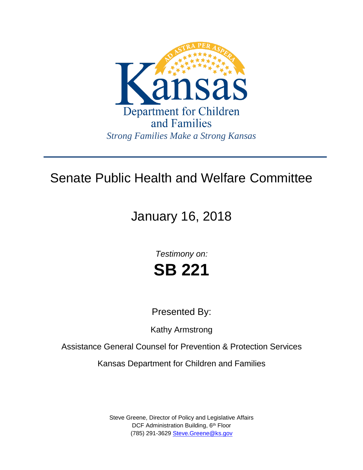

## Senate Public Health and Welfare Committee

# January 16, 2018

*Testimony on:* **SB 221**

Presented By:

Kathy Armstrong

Assistance General Counsel for Prevention & Protection Services

Kansas Department for Children and Families

Steve Greene, Director of Policy and Legislative Affairs DCF Administration Building, 6<sup>th</sup> Floor (785) 291-3629 [Steve.Greene@ks.gov](mailto:Steve.Greene@ks.gov)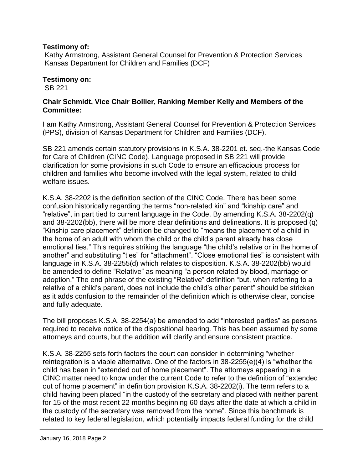#### **Testimony of:**

Kathy Armstrong, Assistant General Counsel for Prevention & Protection Services Kansas Department for Children and Families (DCF)

#### **Testimony on:**

SB 221

### **Chair Schmidt, Vice Chair Bollier, Ranking Member Kelly and Members of the Committee:**

I am Kathy Armstrong, Assistant General Counsel for Prevention & Protection Services (PPS), division of Kansas Department for Children and Families (DCF).

SB 221 amends certain statutory provisions in K.S.A. 38-2201 et. seq.-the Kansas Code for Care of Children (CINC Code). Language proposed in SB 221 will provide clarification for some provisions in such Code to ensure an efficacious process for children and families who become involved with the legal system, related to child welfare issues.

K.S.A. 38-2202 is the definition section of the CINC Code. There has been some confusion historically regarding the terms "non-related kin" and "kinship care" and "relative", in part tied to current language in the Code. By amending K.S.A. 38-2202(q) and 38-2202(bb), there will be more clear definitions and delineations. It is proposed (q) "Kinship care placement" definition be changed to "means the placement of a child in the home of an adult with whom the child or the child's parent already has close emotional ties." This requires striking the language "the child's relative or in the home of another" and substituting "ties" for "attachment". "Close emotional ties" is consistent with language in K.S.A. 38-2255(d) which relates to disposition. K.S.A. 38-2202(bb) would be amended to define "Relative" as meaning "a person related by blood, marriage or adoption." The end phrase of the existing "Relative" definition "but, when referring to a relative of a child's parent, does not include the child's other parent" should be stricken as it adds confusion to the remainder of the definition which is otherwise clear, concise and fully adequate.

The bill proposes K.S.A. 38-2254(a) be amended to add "interested parties" as persons required to receive notice of the dispositional hearing. This has been assumed by some attorneys and courts, but the addition will clarify and ensure consistent practice.

K.S.A. 38-2255 sets forth factors the court can consider in determining "whether reintegration is a viable alternative. One of the factors in 38-2255(e)(4) is "whether the child has been in "extended out of home placement". The attorneys appearing in a CINC matter need to know under the current Code to refer to the definition of "extended out of home placement" in definition provision K.S.A. 38-2202(i). The term refers to a child having been placed "in the custody of the secretary and placed with neither parent for 15 of the most recent 22 months beginning 60 days after the date at which a child in the custody of the secretary was removed from the home". Since this benchmark is related to key federal legislation, which potentially impacts federal funding for the child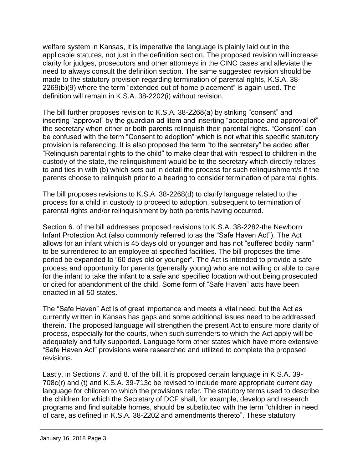welfare system in Kansas, it is imperative the language is plainly laid out in the applicable statutes, not just in the definition section. The proposed revision will increase clarity for judges, prosecutors and other attorneys in the CINC cases and alleviate the need to always consult the definition section. The same suggested revision should be made to the statutory provision regarding termination of parental rights, K.S.A. 38- 2269(b)(9) where the term "extended out of home placement" is again used. The definition will remain in K.S.A. 38-2202(i) without revision.

The bill further proposes revision to K.S.A. 38-2268(a) by striking "consent" and inserting "approval" by the guardian ad litem and inserting "acceptance and approval of" the secretary when either or both parents relinquish their parental rights. "Consent" can be confused with the term "Consent to adoption" which is not what this specific statutory provision is referencing. It is also proposed the term "to the secretary" be added after "Relinquish parental rights to the child" to make clear that with respect to children in the custody of the state, the relinquishment would be to the secretary which directly relates to and ties in with (b) which sets out in detail the process for such relinquishment/s if the parents choose to relinquish prior to a hearing to consider termination of parental rights.

The bill proposes revisions to K.S.A. 38-2268(d) to clarify language related to the process for a child in custody to proceed to adoption, subsequent to termination of parental rights and/or relinquishment by both parents having occurred.

Section 6. of the bill addresses proposed revisions to K.S.A. 38-2282-the Newborn Infant Protection Act (also commonly referred to as the "Safe Haven Act"). The Act allows for an infant which is 45 days old or younger and has not "suffered bodily harm" to be surrendered to an employee at specified facilities. The bill proposes the time period be expanded to "60 days old or younger". The Act is intended to provide a safe process and opportunity for parents (generally young) who are not willing or able to care for the infant to take the infant to a safe and specified location without being prosecuted or cited for abandonment of the child. Some form of "Safe Haven" acts have been enacted in all 50 states.

The "Safe Haven" Act is of great importance and meets a vital need, but the Act as currently written in Kansas has gaps and some additional issues need to be addressed therein. The proposed language will strengthen the present Act to ensure more clarity of process, especially for the courts, when such surrenders to which the Act apply will be adequately and fully supported. Language form other states which have more extensive "Safe Haven Act" provisions were researched and utilized to complete the proposed revisions.

Lastly, in Sections 7. and 8. of the bill, it is proposed certain language in K.S.A. 39- 708c(r) and (t) and K.S.A. 39-713c be revised to include more appropriate current day language for children to which the provisions refer. The statutory terms used to describe the children for which the Secretary of DCF shall, for example, develop and research programs and find suitable homes, should be substituted with the term "children in need of care, as defined in K.S.A. 38-2202 and amendments thereto". These statutory